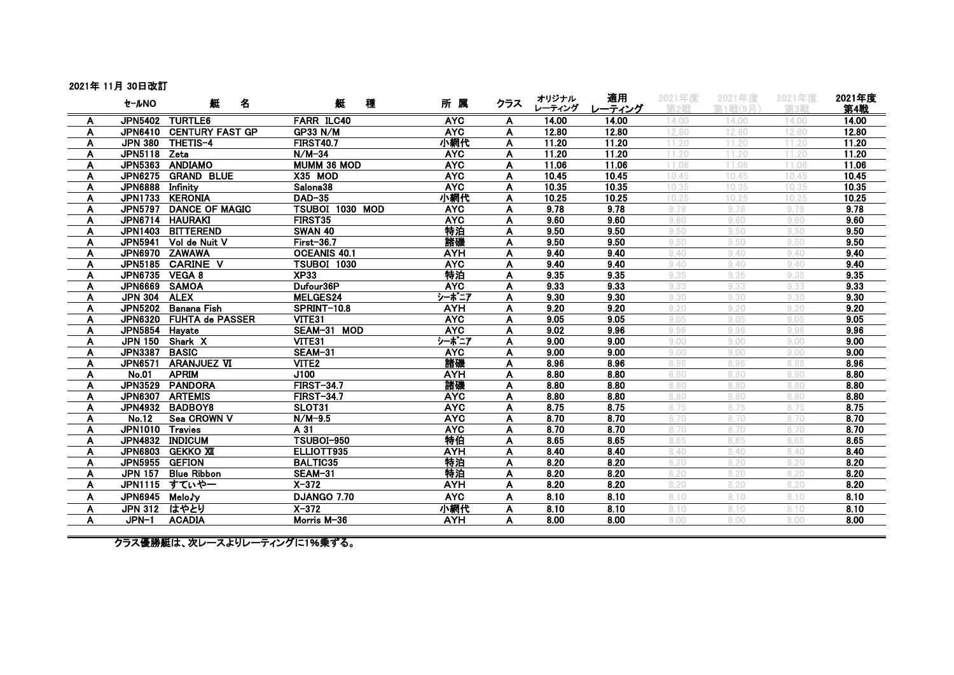## 2021年 11月 30日改訂

|        | セールNO            | 艇<br>名                  | 艇<br>種                              | 所属                       | クラス    | オリジナル<br>レーティング | 適用             | 2021年度<br>第2戦  | 2021年度<br><b>第1戦(9月)</b> | 2021年度<br>第3戦  | 2021年度         |
|--------|------------------|-------------------------|-------------------------------------|--------------------------|--------|-----------------|----------------|----------------|--------------------------|----------------|----------------|
|        |                  |                         |                                     |                          |        |                 | レーティング         |                |                          |                | 第4戦            |
| A      |                  | JPN5402 TURTLE6         | <b>FARR ILC40</b>                   | <b>AYC</b><br><b>AYC</b> | A      | 14.00           | 14.00<br>12.80 | 14.00          | 14.00<br>12.80           | 14.00<br>12.80 | 14.00<br>12.80 |
| A      |                  | JPN6410 CENTURY FAST GP | <b>GP33 N/M</b><br><b>FIRST40.7</b> | 小網代                      | A      | 12.80           |                | 12.80<br>11.20 | 11.20                    | 11.20          |                |
| A      | JPN5118 Zeta     | JPN 380 THETIS-4        | $N/M-34$                            | <b>AYC</b>               | A      | 11.20<br>11.20  | 11.20<br>11.20 |                | 11.20                    | 11.20          | 11.20<br>11.20 |
| A      |                  | JPN5363 ANDIAMO         | MUMM 36 MOD                         | <b>AYC</b>               | A<br>A | 11.06           | 11.06          | 11.20<br>11.06 | 11.06                    | 11.06          | 11.06          |
| A      |                  | JPN6275 GRAND BLUE      | X35 MOD                             | <b>AYC</b>               | A      | 10.45           | 10.45          | 10.45          | 10.45                    | 10.45          | 10.45          |
| A<br>A | JPN6888 Infinity |                         | Salona38                            | <b>AYC</b>               | A      | 10.35           | 10.35          | 10.35          | 10.35                    | 10.35          | 10.35          |
|        |                  | JPN1733 KERONIA         | <b>DAD-35</b>                       | 小網代                      | A      | 10.25           | 10.25          | 10.25          | 10.25                    | 10.25          | 10.25          |
| A<br>A |                  | JPN5797 DANCE OF MAGIC  | TSUBOI 1030 MOD                     | <b>AYC</b>               | A      | 9.78            | 9.78           | 9.78           | 9.78                     | 9.78           | 9.78           |
|        |                  | JPN6714 HAURAKI         | FIRST35                             | <b>AYC</b>               | A      | 9.60            | 9.60           | 9.60           | 9.60                     | 9.60           | 9.60           |
| A      |                  | JPN1403 BITTEREND       | <b>SWAN 40</b>                      | 特泊                       |        |                 | 9.50           | 9.50           | 9.50                     |                | 9.50           |
| A      |                  | JPN5941 Vol de Nuit V   | First-36.7                          |                          | A      | 9.50            | 9.50           | 9.50           | 9.50                     | 9.50           | 9.50           |
| A      |                  |                         |                                     | 諸磯                       | A      | 9.50            |                |                |                          | 9.50           |                |
| A      |                  | JPN6970 ZAWAWA          | <b>OCEANIS 40.1</b>                 | <b>AYH</b>               | A      | 9.40            | 9.40           | 9.40           | 9.40                     | 9.40           | 9.40           |
| A      |                  | JPN5185 CARINE V        | <b>TSUBOI 1030</b>                  | <b>AYC</b>               | A      | 9.40            | 9.40           | 9.40           | 9.40                     | 9.40           | 9.40           |
| A      | JPN6735 VEGA 8   |                         | <b>XP33</b>                         | 特泊                       | A      | 9.35            | 9.35           | 9.35           | 9.35                     | 9.35           | 9.35           |
| Α      | JPN6669 SAMOA    |                         | Dufour36P                           | <b>AYC</b>               | A      | 9.33            | 9.33           | 9.33           | 9.33                     | 9.33           | 9.33           |
| A      | JPN 304 ALEX     |                         | MELGES24                            | シーボニア                    | A      | 9.30            | 9.30           | 9.30           | 9.30                     | 9.30           | 9.30           |
| A      |                  | JPN5202 Banana Fish     | SPRINT-10.8                         | <b>AYH</b>               | A      | 9.20            | 9.20           | 9.20           | 9.20                     | 9.20           | 9.20           |
| A      |                  | JPN6320 FUHTA de PASSER | VITE31                              | <b>AYC</b>               | A      | 9.05            | 9.05           | 9.05           | 9.05                     | 9.05           | 9.05           |
| A      | JPN5854 Hayate   |                         | SEAM-31 MOD                         | <b>AYC</b>               | A      | 9.02            | 9.96           | 9.96           | 9.96                     | 9.96           | 9.96           |
| A      |                  | JPN 150 Shark X         | VITE31                              | シーボニア                    | A      | 9.00            | 9.00           | 9.00           | 9.00                     | 9.00           | 9.00           |
| A      | JPN3387 BASIC    |                         | SEAM-31                             | <b>AYC</b>               | A      | 9.00            | 9.00           | 9.00           | 9.00                     | 9.00           | 9.00           |
| A      |                  | JPN6571 ARANJUEZ VI     | VITE <sub>2</sub>                   | 諸磯                       | A      | 8.96            | 8.96           | 8.96           | 8.96                     | 8.96           | 8.96           |
| A      | <b>No.01</b>     | <b>APRIM</b>            | J100                                | <b>AYH</b>               | A      | 8.80            | 8.80           | 8.80           | 8.80                     | 8.80           | 8.80           |
| A      |                  | JPN3529 PANDORA         | <b>FIRST-34.7</b>                   | 諸磯                       | A      | 8.80            | 8.80           | 8.80           | 8.80                     | 8.80           | 8.80           |
| A      |                  | JPN6307 ARTEMIS         | <b>FIRST-34.7</b>                   | <b>AYC</b>               | A      | 8.80            | 8.80           | 8.80           | 8.80                     | 8.80           | 8.80           |
| A      |                  | JPN4932 BADBOY8         | SLOT31                              | <b>AYC</b>               | A      | 8.75            | 8.75           | 8.75           | 8.75                     | 8.75           | 8.75           |
| A      | <b>No.12</b>     | Sea CROWN V             | $N/M-9.5$                           | <b>AYC</b>               | A      | 8.70            | 8.70           | 8.70           | 8.70                     | 8.70           | 8.70           |
| A      | JPN1010 Travies  |                         | A 31                                | <b>AYC</b>               | A      | 8.70            | 8.70           | 8.70           | 8.70                     | 8.70           | 8.70           |
| A      |                  | JPN4832 INDICUM         | <b>TSUBOI-950</b>                   | 特伯                       | A      | 8.65            | 8.65           | 8.65           | 8.65                     | 8.65           | 8.65           |
| A      |                  | JPN6803 GEKKO XII       | ELLIOTT935                          | <b>AYH</b>               | A      | 8.40            | 8.40           | 8.40           | 8.40                     | 8.40           | 8.40           |
| A      | JPN5955 GEFION   |                         | <b>BALTIC35</b>                     | 特泊                       | A      | 8.20            | 8.20           | 8.20           | 8.20                     | 8.20           | 8.20           |
| A      |                  | JPN 157 Blue Ribbon     | <b>SEAM-31</b>                      | 特泊                       | A      | 8.20            | 8.20           | 8.20           | 8.20                     | 8.20           | 8.20           |
| A      |                  | JPN1115 すていやー           | $X-372$                             | <b>AYH</b>               | A      | 8.20            | 8.20           | 8.20           | 8.20                     | 8.20           | 8.20           |
| A      | JPN6945 MeloJy   |                         | <b>DJANGO 7.70</b>                  | <b>AYC</b>               | A      | 8.10            | 8.10           | 8.10           | 8.10                     | 8.10           | 8.10           |
| A      | JPN 312 はやとり     |                         | $X-372$                             | 小網代                      | A      | 8.10            | 8.10           | 8.10           | 8.10                     | 8.10           | 8.10           |
| A      | JPN-1            | <b>ACADIA</b>           | Morris M-36                         | <b>AYH</b>               | A      | 8.00            | 8.00           | 8.00           | 8.00                     | 8.00           | 8.00           |
|        |                  |                         |                                     |                          |        |                 |                |                |                          |                |                |

クラス優勝艇は、次レースよりレーティングに1%乗ずる。